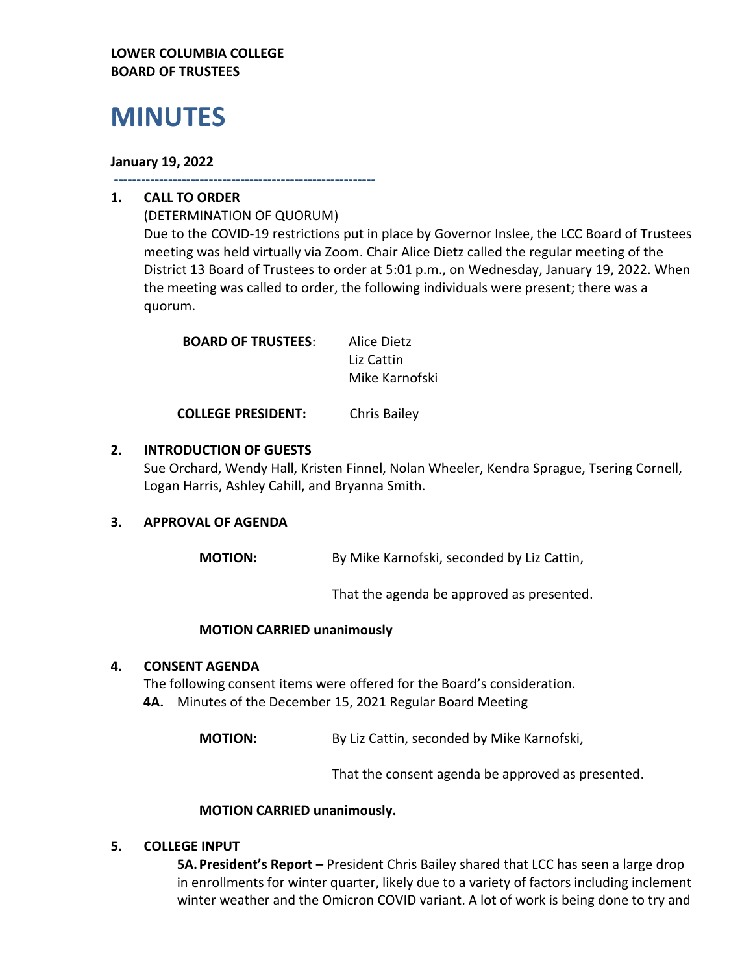## **LOWER COLUMBIA COLLEGE BOARD OF TRUSTEES**

# **MINUTES**

## **January 19, 2022**

**----------------------------------------------------------**

# **1. CALL TO ORDER**

(DETERMINATION OF QUORUM) Due to the COVID-19 restrictions put in place by Governor Inslee, the LCC Board of Trustees meeting was held virtually via Zoom. Chair Alice Dietz called the regular meeting of the District 13 Board of Trustees to order at 5:01 p.m., on Wednesday, January 19, 2022. When the meeting was called to order, the following individuals were present; there was a quorum.

| <b>BOARD OF TRUSTEES:</b> | Alice Dietz    |
|---------------------------|----------------|
|                           | Liz Cattin     |
|                           | Mike Karnofski |
|                           |                |

**COLLEGE PRESIDENT:** Chris Bailey

# **2. INTRODUCTION OF GUESTS**

Sue Orchard, Wendy Hall, Kristen Finnel, Nolan Wheeler, Kendra Sprague, Tsering Cornell, Logan Harris, Ashley Cahill, and Bryanna Smith.

#### **3. APPROVAL OF AGENDA**

**MOTION:** By Mike Karnofski, seconded by Liz Cattin,

That the agenda be approved as presented.

#### **MOTION CARRIED unanimously**

#### **4. CONSENT AGENDA**

The following consent items were offered for the Board's consideration. **4A.** Minutes of the December 15, 2021 Regular Board Meeting

**MOTION:** By Liz Cattin, seconded by Mike Karnofski,

That the consent agenda be approved as presented.

#### **MOTION CARRIED unanimously.**

#### **5. COLLEGE INPUT**

**5A.President's Report –** President Chris Bailey shared that LCC has seen a large drop in enrollments for winter quarter, likely due to a variety of factors including inclement winter weather and the Omicron COVID variant. A lot of work is being done to try and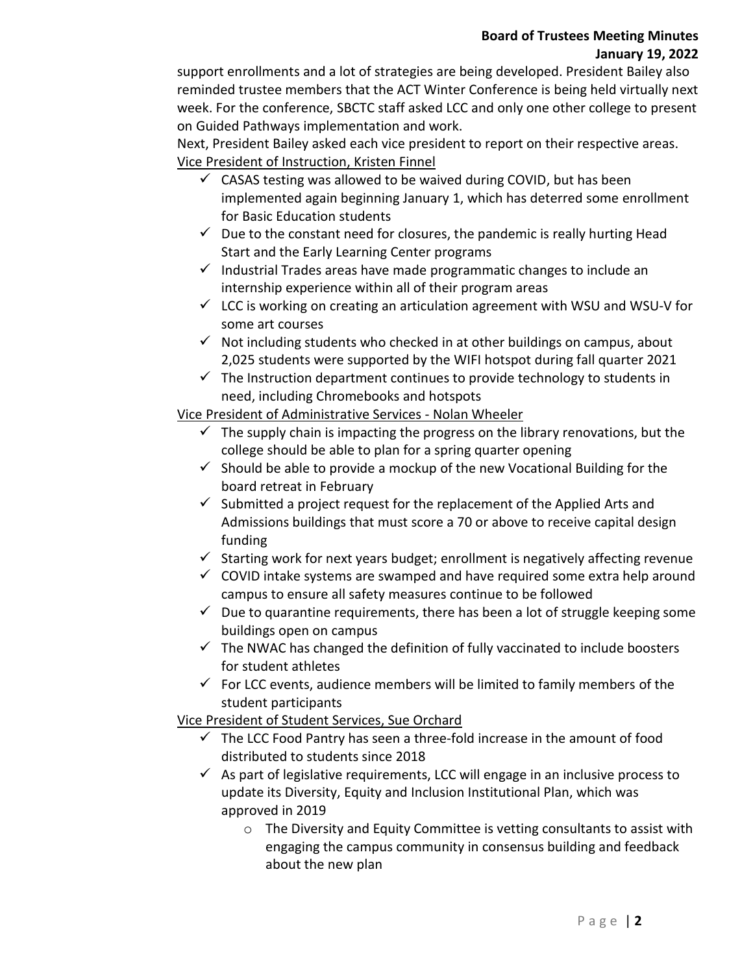## **Board of Trustees Meeting Minutes January 19, 2022**

support enrollments and a lot of strategies are being developed. President Bailey also reminded trustee members that the ACT Winter Conference is being held virtually next week. For the conference, SBCTC staff asked LCC and only one other college to present on Guided Pathways implementation and work.

Next, President Bailey asked each vice president to report on their respective areas. Vice President of Instruction, Kristen Finnel

- $\checkmark$  CASAS testing was allowed to be waived during COVID, but has been implemented again beginning January 1, which has deterred some enrollment for Basic Education students
- $\checkmark$  Due to the constant need for closures, the pandemic is really hurting Head Start and the Early Learning Center programs
- $\checkmark$  Industrial Trades areas have made programmatic changes to include an internship experience within all of their program areas
- $\checkmark$  LCC is working on creating an articulation agreement with WSU and WSU-V for some art courses
- $\checkmark$  Not including students who checked in at other buildings on campus, about 2,025 students were supported by the WIFI hotspot during fall quarter 2021
- $\checkmark$  The Instruction department continues to provide technology to students in need, including Chromebooks and hotspots

# Vice President of Administrative Services - Nolan Wheeler

- $\checkmark$  The supply chain is impacting the progress on the library renovations, but the college should be able to plan for a spring quarter opening
- $\checkmark$  Should be able to provide a mockup of the new Vocational Building for the board retreat in February
- $\checkmark$  Submitted a project request for the replacement of the Applied Arts and Admissions buildings that must score a 70 or above to receive capital design funding
- $\checkmark$  Starting work for next years budget; enrollment is negatively affecting revenue
- $\checkmark$  COVID intake systems are swamped and have required some extra help around campus to ensure all safety measures continue to be followed
- $\checkmark$  Due to quarantine requirements, there has been a lot of struggle keeping some buildings open on campus
- $\checkmark$  The NWAC has changed the definition of fully vaccinated to include boosters for student athletes
- $\checkmark$  For LCC events, audience members will be limited to family members of the student participants

Vice President of Student Services, Sue Orchard

- $\checkmark$  The LCC Food Pantry has seen a three-fold increase in the amount of food distributed to students since 2018
- $\checkmark$  As part of legislative requirements, LCC will engage in an inclusive process to update its Diversity, Equity and Inclusion Institutional Plan, which was approved in 2019
	- o The Diversity and Equity Committee is vetting consultants to assist with engaging the campus community in consensus building and feedback about the new plan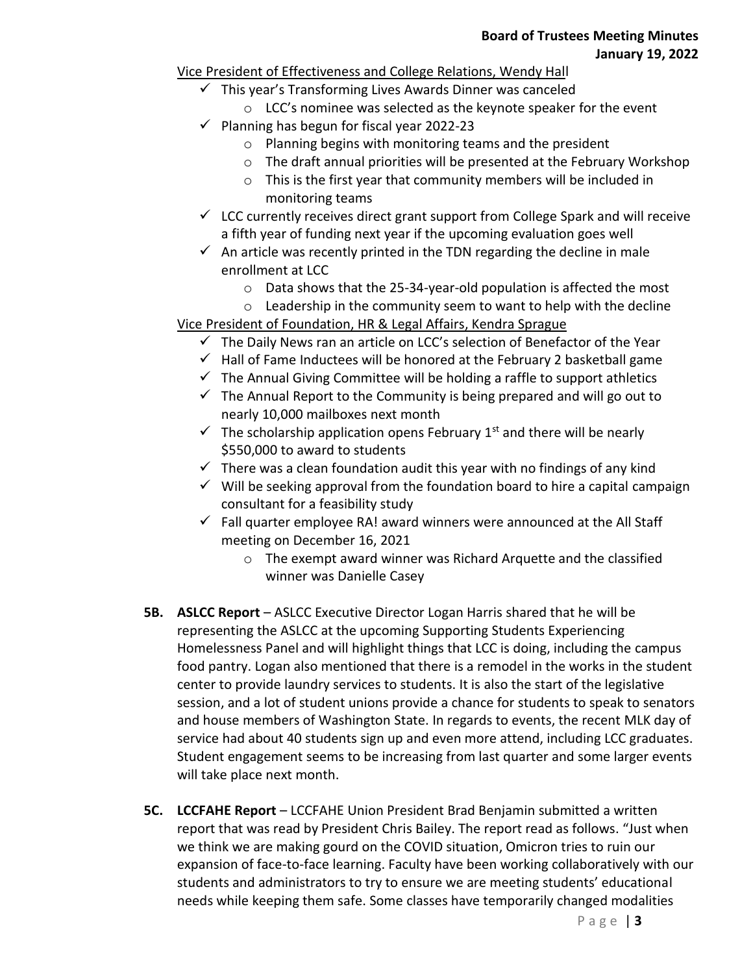## Vice President of Effectiveness and College Relations, Wendy Hall

- $\checkmark$  This year's Transforming Lives Awards Dinner was canceled
	- o LCC's nominee was selected as the keynote speaker for the event
- $\checkmark$  Planning has begun for fiscal year 2022-23
	- o Planning begins with monitoring teams and the president
	- o The draft annual priorities will be presented at the February Workshop
	- o This is the first year that community members will be included in monitoring teams
- $\checkmark$  LCC currently receives direct grant support from College Spark and will receive a fifth year of funding next year if the upcoming evaluation goes well
- $\checkmark$  An article was recently printed in the TDN regarding the decline in male enrollment at LCC
	- o Data shows that the 25-34-year-old population is affected the most
	- o Leadership in the community seem to want to help with the decline
- Vice President of Foundation, HR & Legal Affairs, Kendra Sprague
	- $\checkmark$  The Daily News ran an article on LCC's selection of Benefactor of the Year
	- $\checkmark$  Hall of Fame Inductees will be honored at the February 2 basketball game
	- $\checkmark$  The Annual Giving Committee will be holding a raffle to support athletics
	- $\checkmark$  The Annual Report to the Community is being prepared and will go out to nearly 10,000 mailboxes next month
	- $\checkmark$  The scholarship application opens February 1<sup>st</sup> and there will be nearly \$550,000 to award to students
	- $\checkmark$  There was a clean foundation audit this year with no findings of any kind
	- $\checkmark$  Will be seeking approval from the foundation board to hire a capital campaign consultant for a feasibility study
	- $\checkmark$  Fall quarter employee RA! award winners were announced at the All Staff meeting on December 16, 2021
		- o The exempt award winner was Richard Arquette and the classified winner was Danielle Casey
- **5B. ASLCC Report**  ASLCC Executive Director Logan Harris shared that he will be representing the ASLCC at the upcoming Supporting Students Experiencing Homelessness Panel and will highlight things that LCC is doing, including the campus food pantry. Logan also mentioned that there is a remodel in the works in the student center to provide laundry services to students. It is also the start of the legislative session, and a lot of student unions provide a chance for students to speak to senators and house members of Washington State. In regards to events, the recent MLK day of service had about 40 students sign up and even more attend, including LCC graduates. Student engagement seems to be increasing from last quarter and some larger events will take place next month.
- **5C. LCCFAHE Report** LCCFAHE Union President Brad Benjamin submitted a written report that was read by President Chris Bailey. The report read as follows. "Just when we think we are making gourd on the COVID situation, Omicron tries to ruin our expansion of face-to-face learning. Faculty have been working collaboratively with our students and administrators to try to ensure we are meeting students' educational needs while keeping them safe. Some classes have temporarily changed modalities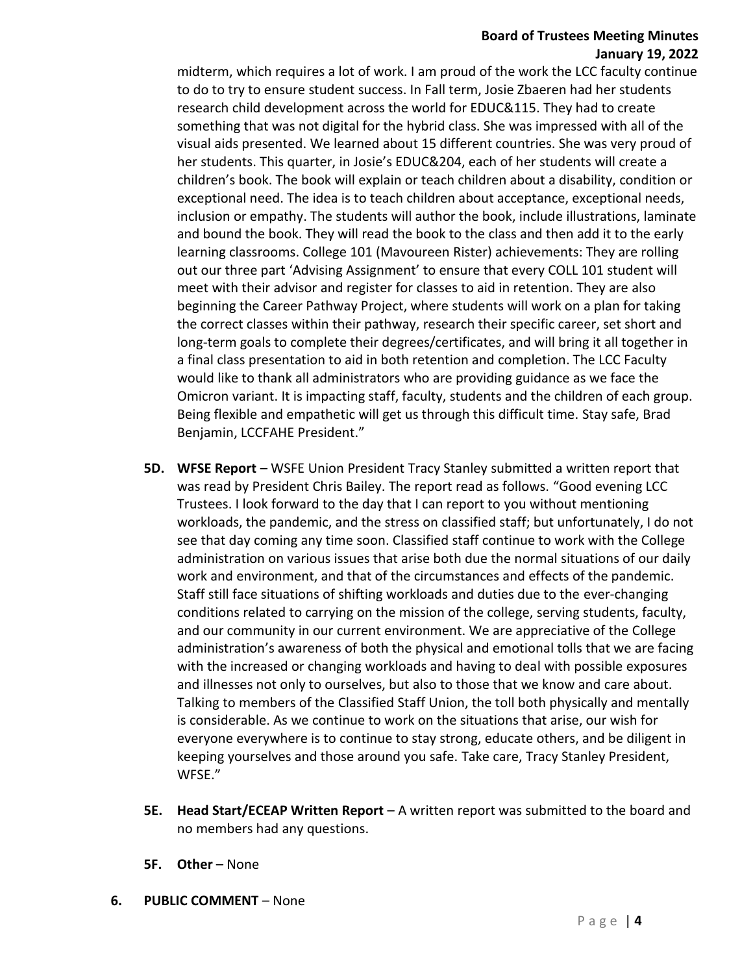#### **Board of Trustees Meeting Minutes January 19, 2022**

midterm, which requires a lot of work. I am proud of the work the LCC faculty continue to do to try to ensure student success. In Fall term, Josie Zbaeren had her students research child development across the world for EDUC&115. They had to create something that was not digital for the hybrid class. She was impressed with all of the visual aids presented. We learned about 15 different countries. She was very proud of her students. This quarter, in Josie's EDUC&204, each of her students will create a children's book. The book will explain or teach children about a disability, condition or exceptional need. The idea is to teach children about acceptance, exceptional needs, inclusion or empathy. The students will author the book, include illustrations, laminate and bound the book. They will read the book to the class and then add it to the early learning classrooms. College 101 (Mavoureen Rister) achievements: They are rolling out our three part 'Advising Assignment' to ensure that every COLL 101 student will meet with their advisor and register for classes to aid in retention. They are also beginning the Career Pathway Project, where students will work on a plan for taking the correct classes within their pathway, research their specific career, set short and long-term goals to complete their degrees/certificates, and will bring it all together in a final class presentation to aid in both retention and completion. The LCC Faculty would like to thank all administrators who are providing guidance as we face the Omicron variant. It is impacting staff, faculty, students and the children of each group. Being flexible and empathetic will get us through this difficult time. Stay safe, Brad Benjamin, LCCFAHE President."

- **5D. WFSE Report** WSFE Union President Tracy Stanley submitted a written report that was read by President Chris Bailey. The report read as follows. "Good evening LCC Trustees. I look forward to the day that I can report to you without mentioning workloads, the pandemic, and the stress on classified staff; but unfortunately, I do not see that day coming any time soon. Classified staff continue to work with the College administration on various issues that arise both due the normal situations of our daily work and environment, and that of the circumstances and effects of the pandemic. Staff still face situations of shifting workloads and duties due to the ever-changing conditions related to carrying on the mission of the college, serving students, faculty, and our community in our current environment. We are appreciative of the College administration's awareness of both the physical and emotional tolls that we are facing with the increased or changing workloads and having to deal with possible exposures and illnesses not only to ourselves, but also to those that we know and care about. Talking to members of the Classified Staff Union, the toll both physically and mentally is considerable. As we continue to work on the situations that arise, our wish for everyone everywhere is to continue to stay strong, educate others, and be diligent in keeping yourselves and those around you safe. Take care, Tracy Stanley President, WFSE."
- **5E. Head Start/ECEAP Written Report** A written report was submitted to the board and no members had any questions.
- **5F. Other** None
- **6. PUBLIC COMMENT**  None